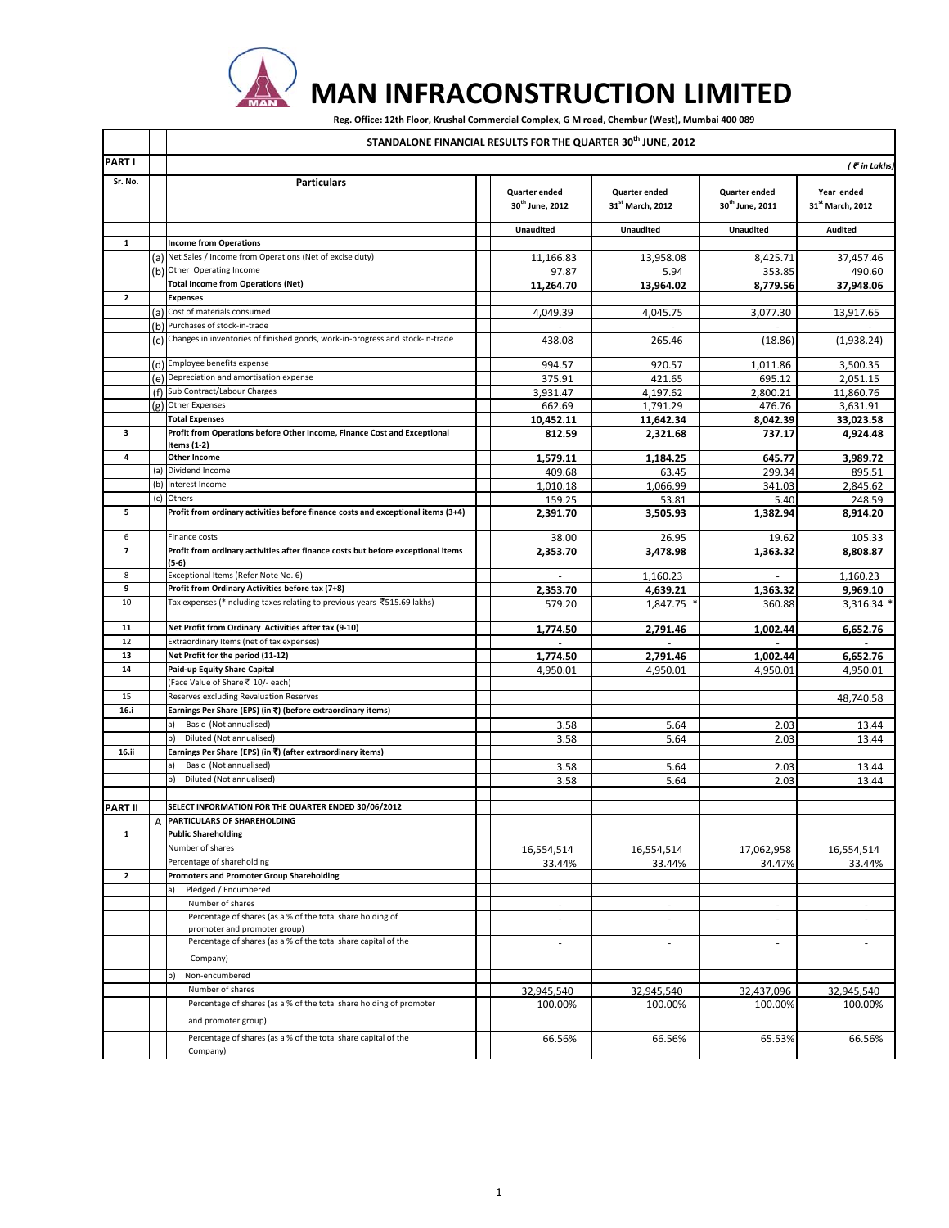

## **MAN INFRACONSTRUCTION LIMITED**

Reg. Office: 12th Floor, Krushal Commercial Complex, G M road, Chembur (West), Mumbai 400 089

|                          |     | STANDALONE FINANCIAL RESULTS FOR THE QUARTER 30 <sup>th</sup> JUNE, 2012                |                                                     |                                               |                                              |                                            |  |
|--------------------------|-----|-----------------------------------------------------------------------------------------|-----------------------------------------------------|-----------------------------------------------|----------------------------------------------|--------------------------------------------|--|
| <b>PART I</b>            |     | $($ $\bar{\mathbf{z}}$ in Lakhs)                                                        |                                                     |                                               |                                              |                                            |  |
| Sr. No.                  |     | <b>Particulars</b>                                                                      | <b>Quarter ended</b><br>30 <sup>th</sup> June, 2012 | Quarter ended<br>31 <sup>st</sup> March, 2012 | Quarter ended<br>30 <sup>th</sup> June, 2011 | Year ended<br>31 <sup>st</sup> March, 2012 |  |
|                          |     |                                                                                         | <b>Unaudited</b>                                    | <b>Unaudited</b>                              | <b>Unaudited</b>                             | <b>Audited</b>                             |  |
| $\mathbf{1}$             |     | <b>Income from Operations</b>                                                           |                                                     |                                               |                                              |                                            |  |
|                          | (a) | Net Sales / Income from Operations (Net of excise duty)                                 | 11,166.83                                           | 13,958.08                                     | 8,425.71                                     | 37,457.46                                  |  |
|                          |     | (b) Other Operating Income                                                              | 97.87                                               | 5.94                                          | 353.85                                       | 490.60                                     |  |
|                          |     | <b>Total Income from Operations (Net)</b>                                               | 11,264.70                                           | 13,964.02                                     | 8,779.56                                     | 37,948.06                                  |  |
| $\overline{2}$           |     | <b>Expenses</b>                                                                         |                                                     |                                               |                                              |                                            |  |
|                          | (a) | Cost of materials consumed<br>(b) Purchases of stock-in-trade                           | 4,049.39                                            | 4,045.75                                      | 3,077.30                                     | 13,917.65                                  |  |
|                          |     | (c) Changes in inventories of finished goods, work-in-progress and stock-in-trade       | 438.08                                              | 265.46                                        | (18.86)                                      | (1,938.24)                                 |  |
|                          |     |                                                                                         |                                                     |                                               |                                              |                                            |  |
|                          |     | (d) Employee benefits expense                                                           | 994.57                                              | 920.57                                        | 1,011.86                                     | 3,500.35                                   |  |
|                          |     | (e) Depreciation and amortisation expense                                               | 375.91                                              | 421.65                                        | 695.12                                       | 2,051.15                                   |  |
|                          | (f) | Sub Contract/Labour Charges                                                             | 3,931.47                                            | 4,197.62                                      | 2,800.21                                     | 11,860.76                                  |  |
|                          |     | (g) Other Expenses                                                                      | 662.69                                              | 1,791.29                                      | 476.76                                       | 3,631.91                                   |  |
|                          |     | <b>Total Expenses</b>                                                                   | 10,452.11                                           | 11,642.34                                     | 8,042.39                                     | 33,023.58                                  |  |
| 3                        |     | Profit from Operations before Other Income, Finance Cost and Exceptional<br>Items (1-2) | 812.59                                              | 2,321.68                                      | 737.17                                       | 4,924.48                                   |  |
| 4                        |     | <b>Other Income</b>                                                                     | 1,579.11                                            | 1.184.25                                      | 645.77                                       | 3,989.72                                   |  |
|                          | (a) | Dividend Income                                                                         | 409.68                                              | 63.45                                         | 299.34                                       | 895.51                                     |  |
|                          | (b) | Interest Income                                                                         | 1,010.18                                            | 1,066.99                                      | 341.03                                       | 2,845.62                                   |  |
|                          | (c) | Others                                                                                  | 159.25                                              | 53.81                                         | 5.40                                         | 248.59                                     |  |
| 5                        |     | Profit from ordinary activities before finance costs and exceptional items (3+4)        | 2,391.70                                            | 3,505.93                                      | 1,382.94                                     | 8,914.20                                   |  |
| 6                        |     | Finance costs                                                                           | 38.00                                               | 26.95                                         | 19.62                                        | 105.33                                     |  |
| $\overline{\phantom{a}}$ |     | Profit from ordinary activities after finance costs but before exceptional items        | 2,353.70                                            | 3,478.98                                      | 1,363.32                                     | 8,808.87                                   |  |
|                          |     | (5-6)                                                                                   |                                                     |                                               |                                              |                                            |  |
| 8                        |     | Exceptional Items (Refer Note No. 6)                                                    | ÷.                                                  | 1,160.23                                      | ÷.                                           | 1,160.23                                   |  |
| 9                        |     | Profit from Ordinary Activities before tax (7+8)                                        | 2,353.70                                            | 4,639.21                                      | 1,363.32                                     | 9,969.10                                   |  |
| 10                       |     | Tax expenses (*including taxes relating to previous years ₹515.69 lakhs)                | 579.20                                              | 1,847.75                                      | 360.88                                       | 3,316.34 *                                 |  |
| 11                       |     | Net Profit from Ordinary Activities after tax (9-10)                                    | 1,774.50                                            | 2,791.46                                      | 1,002.44                                     | 6,652.76                                   |  |
| 12                       |     | Extraordinary Items (net of tax expenses)                                               |                                                     |                                               |                                              |                                            |  |
| 13                       |     | Net Profit for the period (11-12)                                                       | 1,774.50                                            | 2,791.46                                      | 1,002.44                                     | 6,652.76                                   |  |
| 14                       |     | Paid-up Equity Share Capital<br>(Face Value of Share ₹ 10/- each)                       | 4,950.01                                            | 4,950.01                                      | 4,950.01                                     | 4,950.01                                   |  |
| 15                       |     | Reserves excluding Revaluation Reserves                                                 |                                                     |                                               |                                              |                                            |  |
| 16.i                     |     | Earnings Per Share (EPS) (in ₹) (before extraordinary items)                            |                                                     |                                               |                                              | 48,740.58                                  |  |
|                          |     | Basic (Not annualised)<br>a)                                                            | 3.58                                                | 5.64                                          | 2.03                                         | 13.44                                      |  |
|                          |     | b)<br>Diluted (Not annualised)                                                          | 3.58                                                | 5.64                                          | 2.03                                         | 13.44                                      |  |
| 16.ii                    |     | Earnings Per Share (EPS) (in ₹) (after extraordinary items)                             |                                                     |                                               |                                              |                                            |  |
|                          |     | Basic (Not annualised)<br>a)                                                            | 3.58                                                | 5.64                                          | 2.03                                         | 13.44                                      |  |
|                          |     | Diluted (Not annualised)<br>b)                                                          | 3.58                                                | 5.64                                          | 2.03                                         | 13.44                                      |  |
|                          |     |                                                                                         |                                                     |                                               |                                              |                                            |  |
| <b>PART II</b>           |     | SELECT INFORMATION FOR THE QUARTER ENDED 30/06/2012                                     |                                                     |                                               |                                              |                                            |  |
|                          |     | PARTICULARS OF SHAREHOLDING                                                             |                                                     |                                               |                                              |                                            |  |
| $\mathbf{1}$             |     | <b>Public Shareholding</b>                                                              |                                                     |                                               |                                              |                                            |  |
|                          |     | Number of shares                                                                        | 16,554,514                                          | 16,554,514                                    | 17,062,958                                   | 16,554,514                                 |  |
|                          |     | Percentage of shareholding                                                              | 33.44%                                              | 33.44%                                        | 34.47%                                       | 33.44%                                     |  |
| $\overline{\mathbf{2}}$  |     | <b>Promoters and Promoter Group Shareholding</b>                                        |                                                     |                                               |                                              |                                            |  |
|                          |     | Pledged / Encumbered<br>Number of shares                                                |                                                     |                                               |                                              |                                            |  |
|                          |     | Percentage of shares (as a % of the total share holding of                              | $\sim$                                              | $\overline{\phantom{a}}$                      | $\sim$                                       | $\sim$                                     |  |
|                          |     | promoter and promoter group)                                                            | ٠                                                   |                                               |                                              |                                            |  |
|                          |     | Percentage of shares (as a % of the total share capital of the                          | ÷,                                                  | ÷,                                            | $\overline{\phantom{a}}$                     |                                            |  |
|                          |     | Company)                                                                                |                                                     |                                               |                                              |                                            |  |
|                          |     |                                                                                         |                                                     |                                               |                                              |                                            |  |
|                          |     | Non-encumbered<br>b)<br>Number of shares                                                |                                                     |                                               |                                              |                                            |  |
|                          |     | Percentage of shares (as a % of the total share holding of promoter                     | 32,945,540<br>100.00%                               | 32,945,540<br>100.00%                         | 32,437,096<br>100.00%                        | 32,945,540<br>100.00%                      |  |
|                          |     | and promoter group)                                                                     |                                                     |                                               |                                              |                                            |  |
|                          |     | Percentage of shares (as a % of the total share capital of the                          | 66.56%                                              | 66.56%                                        | 65.53%                                       | 66.56%                                     |  |
|                          |     | Company)                                                                                |                                                     |                                               |                                              |                                            |  |